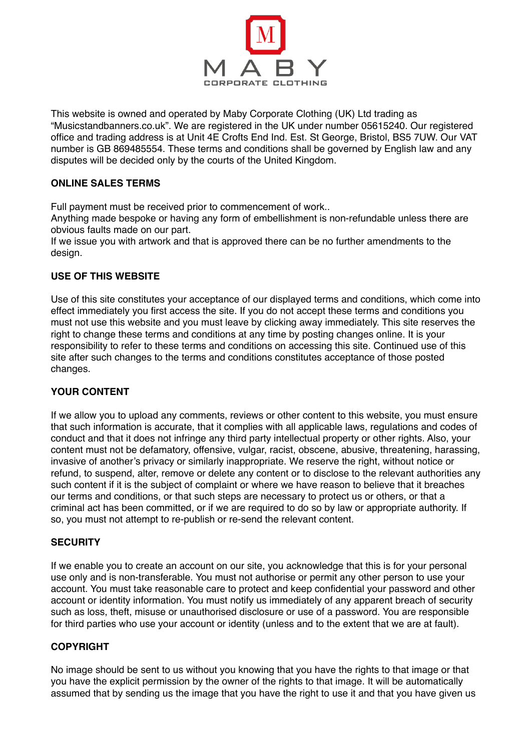

This website is owned and operated by Maby Corporate Clothing (UK) Ltd trading as "Musicstandbanners.co.uk". We are registered in the UK under number 05615240. Our registered office and trading address is at Unit 4E Crofts End Ind. Est. St George, Bristol, BS5 7UW. Our VAT number is GB 869485554. These terms and conditions shall be governed by English law and any disputes will be decided only by the courts of the United Kingdom.

## **ONLINE SALES TERMS**

Full payment must be received prior to commencement of work..

Anything made bespoke or having any form of embellishment is non-refundable unless there are obvious faults made on our part.

If we issue you with artwork and that is approved there can be no further amendments to the design.

## **USE OF THIS WEBSITE**

Use of this site constitutes your acceptance of our displayed terms and conditions, which come into effect immediately you first access the site. If you do not accept these terms and conditions you must not use this website and you must leave by clicking away immediately. This site reserves the right to change these terms and conditions at any time by posting changes online. It is your responsibility to refer to these terms and conditions on accessing this site. Continued use of this site after such changes to the terms and conditions constitutes acceptance of those posted changes.

# **YOUR CONTENT**

If we allow you to upload any comments, reviews or other content to this website, you must ensure that such information is accurate, that it complies with all applicable laws, regulations and codes of conduct and that it does not infringe any third party intellectual property or other rights. Also, your content must not be defamatory, offensive, vulgar, racist, obscene, abusive, threatening, harassing, invasive of another's privacy or similarly inappropriate. We reserve the right, without notice or refund, to suspend, alter, remove or delete any content or to disclose to the relevant authorities any such content if it is the subject of complaint or where we have reason to believe that it breaches our terms and conditions, or that such steps are necessary to protect us or others, or that a criminal act has been committed, or if we are required to do so by law or appropriate authority. If so, you must not attempt to re-publish or re-send the relevant content.

### **SECURITY**

If we enable you to create an account on our site, you acknowledge that this is for your personal use only and is non-transferable. You must not authorise or permit any other person to use your account. You must take reasonable care to protect and keep confidential your password and other account or identity information. You must notify us immediately of any apparent breach of security such as loss, theft, misuse or unauthorised disclosure or use of a password. You are responsible for third parties who use your account or identity (unless and to the extent that we are at fault).

### **COPYRIGHT**

No image should be sent to us without you knowing that you have the rights to that image or that you have the explicit permission by the owner of the rights to that image. It will be automatically assumed that by sending us the image that you have the right to use it and that you have given us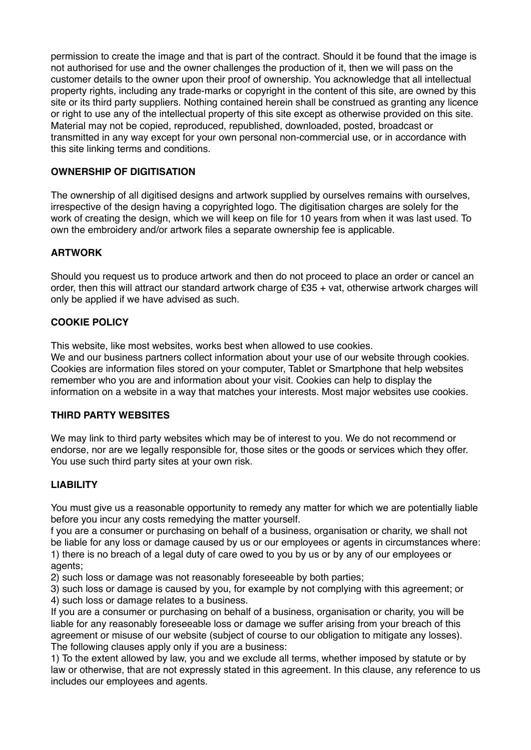permission to create the image and that is part of the contract. Should it be found that the image is not authorised for use and the owner challenges the production of it, then we will pass on the customer details to the owner upon their proof of ownership. You acknowledge that all intellectual property rights, including any trade-marks or copyright in the content of this site, are owned by this site or its third party suppliers. Nothing contained herein shall be construed as granting any licence or right to use any of the intellectual property of this site except as otherwise provided on this site. Material may not be copied, reproduced, republished, downloaded, posted, broadcast or transmitted in any way except for your own personal non-commercial use, or in accordance with this site linking terms and conditions.

# **OWNERSHIP OF DIGITISATION**

The ownership of all digitised designs and artwork supplied by ourselves remains with ourselves, irrespective of the design having a copyrighted logo. The digitisation charges are solely for the work of creating the design, which we will keep on file for 10 years from when it was last used. To own the embroidery and/or artwork files a separate ownership fee is applicable.

## **ARTWORK**

Should you request us to produce artwork and then do not proceed to place an order or cancel an order, then this will attract our standard artwork charge of £35 + vat, otherwise artwork charges will only be applied if we have advised as such.

## **COOKIE POLICY**

This website, like most websites, works best when allowed to use cookies.

We and our business partners collect information about your use of our website through cookies. Cookies are information files stored on your computer, Tablet or Smartphone that help websites remember who you are and information about your visit. Cookies can help to display the information on a website in a way that matches your interests. Most major websites use cookies.

### **THIRD PARTY WEBSITES**

We may link to third party websites which may be of interest to you. We do not recommend or endorse, nor are we legally responsible for, those sites or the goods or services which they offer. You use such third party sites at your own risk.

### **LIABILITY**

You must give us a reasonable opportunity to remedy any matter for which we are potentially liable before you incur any costs remedying the matter yourself.

f you are a consumer or purchasing on behalf of a business, organisation or charity, we shall not be liable for any loss or damage caused by us or our employees or agents in circumstances where: 1) there is no breach of a legal duty of care owed to you by us or by any of our employees or agents;

2) such loss or damage was not reasonably foreseeable by both parties;

3) such loss or damage is caused by you, for example by not complying with this agreement; or 4) such loss or damage relates to a business.

If you are a consumer or purchasing on behalf of a business, organisation or charity, you will be liable for any reasonably foreseeable loss or damage we suffer arising from your breach of this agreement or misuse of our website (subject of course to our obligation to mitigate any losses). The following clauses apply only if you are a business:

1) To the extent allowed by law, you and we exclude all terms, whether imposed by statute or by law or otherwise, that are not expressly stated in this agreement. In this clause, any reference to us includes our employees and agents.